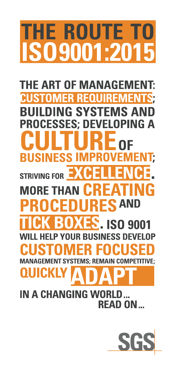# **HE ROUTE T 09001:20**

**THE ART OF MANAGEMENT: MER REQU REMER BUILDING SYSTEMS AN PROCESSES: DEVELOPING A BUSINESS IMPRO EMENT:** EXCE **STRIVING FOR MORE THAN CR** F IG  $\boldsymbol{\Lambda}$ **FS AND** OCEDUI R **TXES** R **ISO 9001 HELP YOUR BUSINESS DEVELOP YSTEMS** R **OUICKLY** 

# **IN A CHANGING WORLD** RFAD ON

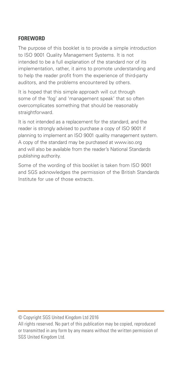## **FOREWORD**

The purpose of this booklet is to provide a simple introduction to ISO 9001 Quality Management Systems. It is not intended to be a full explanation of the standard nor of its implementation, rather, it aims to promote understanding and to help the reader profit from the experience of third-party auditors, and the problems encountered by others.

It is hoped that this simple approach will cut through some of the 'fog' and 'management speak' that so often overcomplicates something that should be reasonably straightforward.

It is not intended as a replacement for the standard, and the reader is strongly advised to purchase a copy of ISO 9001 if planning to implement an ISO 9001 quality management system. A copy of the standard may be purchased at www.iso.org and will also be available from the reader's National Standards publishing authority.

Some of the wording of this booklet is taken from ISO 9001 and SGS acknowledges the permission of the British Standards Institute for use of those extracts.

© Copyright SGS United Kingdom Ltd 2016

All rights reserved. No part of this publication may be copied, reproduced or transmitted in any form by any means without the written permission of SGS United Kingdom Ltd.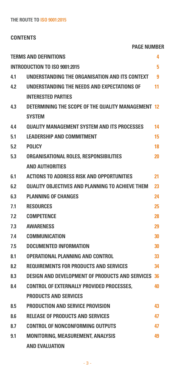## **CONTENTS**

**Page Number**

|     | <b>TERMS AND DEFINITIONS</b>                              | 4  |
|-----|-----------------------------------------------------------|----|
|     | <b>INTRODUCTION TO ISO 9001:2015</b>                      | 5  |
| 4.1 | UNDERSTANDING THE ORGANISATION AND ITS CONTEXT            | 9  |
| 4.2 | UNDERSTANDING THE NEEDS AND EXPECTATIONS OF               | 11 |
|     | <b>INTERESTED PARTIES</b>                                 |    |
| 4.3 | DETERMINING THE SCOPE OF THE QUALITY MANAGEMENT 12        |    |
|     | <b>SYSTEM</b>                                             |    |
| 4.4 | <b>OUALITY MANAGEMENT SYSTEM AND ITS PROCESSES</b>        | 14 |
| 5.1 | <b>LEADERSHIP AND COMMITMENT</b>                          | 15 |
| 5.2 | <b>POLICY</b>                                             | 18 |
| 5.3 | ORGANISATIONAL ROLES, RESPONSIBILITIES                    | 20 |
|     | <b>AND AUTHORITIES</b>                                    |    |
| 6.1 | <b>ACTIONS TO ADDRESS RISK AND OPPORTUNITIES</b>          | 21 |
| 6.2 | <b>QUALITY OBJECTIVES AND PLANNING TO ACHIEVE THEM</b>    | 23 |
| 6.3 | <b>PLANNING OF CHANGES</b>                                | 24 |
| 7.1 | <b>RESOURCES</b>                                          | 25 |
| 7.2 | <b>COMPETENCE</b>                                         | 28 |
| 7.3 | <b>AWARENESS</b>                                          | 29 |
| 7.4 | <b>COMMUNICATION</b>                                      | 30 |
| 7.5 | <b>DOCUMENTED INFORMATION</b>                             | 30 |
| 8.1 | OPERATIONAL PLANNING AND CONTROL                          | 33 |
| 8.2 | REQUIREMENTS FOR PRODUCTS AND SERVICES                    | 34 |
| 8.3 | <b>DESIGN AND DEVELOPMENT OF PRODUCTS AND SERVICES 36</b> |    |
| 8.4 | CONTROL OF EXTERNALLY PROVIDED PROCESSES.                 | 40 |
|     | <b>PRODUCTS AND SERVICES</b>                              |    |
| 8.5 | <b>PRODUCTION AND SERVICE PROVISION</b>                   | 43 |
| 8.6 | <b>RELEASE OF PRODUCTS AND SERVICES</b>                   | 47 |
| 8.7 | <b>CONTROL OF NONCONFORMING OUTPUTS</b>                   | 47 |
| 9.1 | <b>MONITORING, MEASUREMENT, ANALYSIS</b>                  | 49 |
|     | <b>AND EVALUATION</b>                                     |    |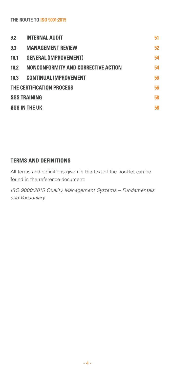| 9.2  | <b>INTERNAL AUDIT</b>               | 51 |
|------|-------------------------------------|----|
| 9.3  | <b>MANAGEMENT REVIEW</b>            | 52 |
| 10.1 | <b>GENERAL (IMPROVEMENT)</b>        | 54 |
| 10.2 | NONCONFORMITY AND CORRECTIVE ACTION | 54 |
| 10.3 | <b>CONTINUAL IMPROVEMENT</b>        | 56 |
|      | THE CERTIFICATION PROCESS           | 56 |
|      | <b>SGS TRAINING</b>                 | 58 |
|      | <b>SGS IN THE UK</b>                | 58 |
|      |                                     |    |

## **TERMS and DEFINITIONS**

All terms and definitions given in the text of the booklet can be found in the reference document:

*ISO 9000:2015 Quality Management Systems – Fundamentals and Vocabulary*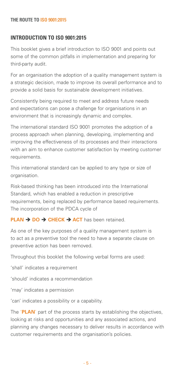## **INTRODUCTION TO ISO 9001:2015**

This booklet gives a brief introduction to ISO 9001 and points out some of the common pitfalls in implementation and preparing for third-party audit.

For an organisation the adoption of a quality management system is a strategic decision, made to improve its overall performance and to provide a solid basis for sustainable development initiatives.

Consistently being required to meet and address future needs and expectations can pose a challenge for organisations in an environment that is increasingly dynamic and complex.

The international standard ISO 9001 promotes the adoption of a process approach when planning, developing, implementing and improving the effectiveness of its processes and their interactions with an aim to enhance customer satisfaction by meeting customer requirements.

This international standard can be applied to any type or size of organisation.

Risk-based thinking has been introduced into the International Standard, which has enabled a reduction in prescriptive requirements, being replaced by performance based requirements. The incorporation of the PDCA cycle of

#### **PLAN → DO → CHECK → ACT** has been retained.

As one of the key purposes of a quality management system is to act as a preventive tool the need to have a separate clause on preventive action has been removed.

Throughout this booklet the following verbal forms are used:

'shall' indicates a requirement

'should' indicates a recommendation

'may' indicates a permission

'can' indicates a possibility or a capability.

The '**PLAN**' part of the process starts by establishing the objectives, looking at risks and opportunities and any associated actions, and planning any changes necessary to deliver results in accordance with customer requirements and the organisation's policies.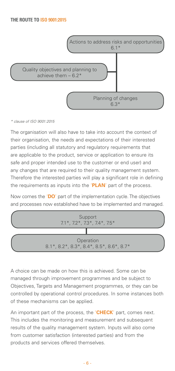

#### *\* clause of ISO 9001:2015*

The organisation will also have to take into account the context of their organisation, the needs and expectations of their interested parties (including all statutory and regulatory requirements that are applicable to the product, service or application to ensure its safe and proper intended use to the customer or end user) and any changes that are required to their quality management system. Therefore the interested parties will play a significant role in defining the requirements as inputs into the '**PLAN**' part of the process.

Now comes the '**DO**' part of the implementation cycle. The objectives and processes now established have to be implemented and managed.



A choice can be made on how this is achieved. Some can be managed through improvement programmes and be subject to Objectives, Targets and Management programmes, or they can be controlled by operational control procedures. In some instances both of these mechanisms can be applied.

An important part of the process, the '**CHECK**' part, comes next. This includes the monitoring and measurement and subsequent results of the quality management system. Inputs will also come from customer satisfaction (interested parties) and from the products and services offered themselves.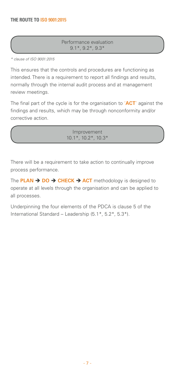Performance evaluation 9.1\*, 9.2\*, 9.3\*

*\* clause of ISO 9001:2015*

*\* clause of ISO 9001:2015*

This ensures that the controls and procedures are functioning as intended. There is a requirement to report all findings and results, normally through the internal audit process and at management review meetings.

The final part of the cycle is for the organisation to '**ACT**' against the findings and results, which may be through nonconformity and/or corrective action.

> Improvement 10.1\*, 10.2\*, 10.3\*

There will be a requirement to take action to continually improve process performance.

The **PLAN → DO → CHECK → ACT** methodology is designed to operate at all levels through the organisation and can be applied to all processes.

Underpinning the four elements of the PDCA is clause 5 of the International Standard – Leadership (5.1\*, 5.2\*, 5.3\*).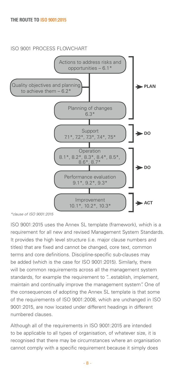## ISO 9001 PROCESS FLOWCHART



ISO 9001:2015 uses the Annex SL template (framework), which is a requirement for all new and revised Management System Standards. It provides the high level structure (i.e. major clause numbers and titles) that are fixed and cannot be changed, core text, common terms and core definitions. Discipline-specific sub-clauses may be added (which is the case for ISO 9001:2015). Similarly, there will be common requirements across all the management system standards, for example the requirement to "...establish, implement, maintain and continually improve the management system". One of the consequences of adopting the Annex SL template is that some of the requirements of ISO 9001:2008, which are unchanged in ISO 9001:2015, are now located under different headings in different numbered clauses.

Although all of the requirements in ISO 9001:2015 are intended to be applicable to all types of organisation, of whatever size, it is recognised that there may be circumstances where an organisation cannot comply with a specific requirement because it simply does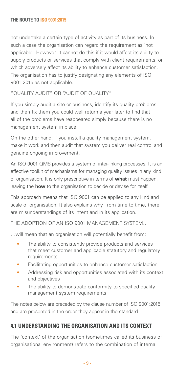not undertake a certain type of activity as part of its business. In such a case the organisation can regard the requirement as 'not applicable'. However, it cannot do this if it would affect its ability to supply products or services that comply with client requirements, or which adversely affect its ability to enhance customer satisfaction. The organisation has to justify designating any elements of ISO 9001:2015 as not applicable.

"QUALITY AUDIT" OR "AUDIT OF QUALITY"

If you simply audit a site or business, identify its quality problems and then fix them you could well return a year later to find that all of the problems have reappeared simply because there is no management system in place.

On the other hand, if you install a quality management system, make it work and then audit that system you deliver real control and genuine ongoing improvement.

An ISO 9001 QMS provides a system of inter-linking processes. It is an effective toolkit of mechanisms for managing quality issues in any kind of organisation. It is only prescriptive in terms of **what** must happen, leaving the **how** to the organisation to decide or devise for itself.

This approach means that ISO 9001 can be applied to any kind and scale of organisation. It also explains why, from time to time, there are misunderstandings of its intent and in its application.

The adoption of an ISO 9001 MANAGEMENT SYSTEM…

…will mean that an organisation will potentially benefit from:

- The ability to consistently provide products and services that meet customer and applicable statutory and regulatory requirements
- Facilitating opportunities to enhance customer satisfaction
- Addressing risk and opportunities associated with its context and objectives
- The ability to demonstrate conformity to specified quality management system requirements.

The notes below are preceded by the clause number of ISO 9001:2015 and are presented in the order they appear in the standard.

## **4.1 Understanding the organisation and its context**

The 'context' of the organisation (sometimes called its business or organisational environment) refers to the combination of internal

- 9 -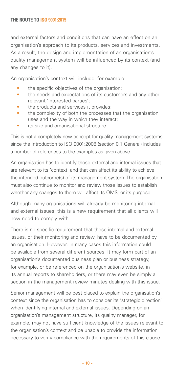and external factors and conditions that can have an effect on an organisation's approach to its products, services and investments. As a result, the design and implementation of an organisation's quality management system will be influenced by its context (and any changes to it).

An organisation's context will include, for example:

- the specific objectives of the organisation;
- the needs and expectations of its customers and any other relevant 'interested parties';
- the products and services it provides;
- the complexity of both the processes that the organisation uses and the way in which they interact;
- its size and organisational structure.

This is not a completely new concept for quality management systems, since the Introduction to ISO 9001:2008 (section 0.1 General) includes a number of references to the examples as given above.

An organisation has to identify those external and internal issues that are relevant to its 'context' and that can affect its ability to achieve the intended outcome(s) of its management system. The organisation must also continue to monitor and review those issues to establish whether any changes to them will affect its QMS, or its purpose.

Although many organisations will already be monitoring internal and external issues, this is a new requirement that all clients will now need to comply with.

There is no specific requirement that these internal and external issues, or their monitoring and review, have to be documented by an organisation. However, in many cases this information could be available from several different sources. It may form part of an organisation's documented business plan or business strategy, for example, or be referenced on the organisation's website, in its annual reports to shareholders, or there may even be simply a section in the management review minutes dealing with this issue.

Senior management will be best placed to explain the organisation's context since the organisation has to consider its 'strategic direction' when identifying internal and external issues. Depending on an organisation's management structure, its quality manager, for example, may not have sufficient knowledge of the issues relevant to the organisation's context and be unable to provide the information necessary to verify compliance with the requirements of this clause.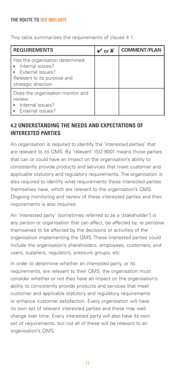This table summarises the requirements of clause 4.1.

| <b>REQUIREMENTS</b>                                                                                                              | $\vee$ or X | <b>COMMENT/PLAN</b> |
|----------------------------------------------------------------------------------------------------------------------------------|-------------|---------------------|
| Has the organisation determined:<br>Internal issues?<br>• External issues?<br>Relevant to its purpose and<br>strategic direction |             |                     |
| Does the organisation monitor and<br>review:<br>Internal issues?<br>External issues?                                             |             |                     |

## **4.2 Understanding the needs and expectations of interested parties**

An organisation is required to identify the 'interested parties' that are relevant to its QMS. By 'relevant' ISO 9001 means those parties that can or could have an impact on the organisation's ability to consistently provide products and services that meet customer and applicable statutory and regulatory requirements. The organisation is also required to identify what requirements these interested parties themselves have, which are relevant to the organisation's QMS. Ongoing monitoring and review of these interested parties and their requirements is also required.

An 'interested party' (sometimes referred to as a 'stakeholder') is any person or organisation that can affect, be affected by, or perceive themselves to be affected by the decisions or activities of the organisation implementing the QMS. These interested parties could include the organisation's shareholders, employees, customers, end users, suppliers, regulators, pressure groups, etc.

In order to determine whether an interested party, or its requirements, are relevant to their QMS, the organisation must consider whether or not they have an impact on the organisation's ability to consistently provide products and services that meet customer and applicable statutory and regulatory requirements or enhance customer satisfaction. Every organisation will have its own set of relevant interested parties and these may well change over time. Every interested party will also have its own set of requirements, but not all of these will be relevant to an organisation's QMS.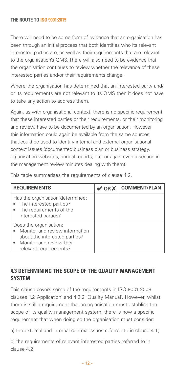There will need to be some form of evidence that an organisation has been through an initial process that both identifies who its relevant interested parties are, as well as their requirements that are relevant to the organisation's QMS. There will also need to be evidence that the organisation continues to review whether the relevance of these interested parties and/or their requirements change.

Where the organisation has determined that an interested party and/ or its requirements are not relevant to its QMS then it does not have to take any action to address them.

Again, as with organisational context, there is no specific requirement that these interested parties or their requirements, or their monitoring and review, have to be documented by an organisation. However, this information could again be available from the same sources that could be used to identify internal and external organisational context issues (documented business plan or business strategy, organisation websites, annual reports, etc. or again even a section in the management review minutes dealing with them).

| <b>REQUIREMENTS</b>                                                                                                                               | OR X | <b>COMMENT/PLAN</b> |
|---------------------------------------------------------------------------------------------------------------------------------------------------|------|---------------------|
| Has the organisation determined:<br>• The interested parties?<br>The requirements of the<br>interested parties?                                   |      |                     |
| Does the organisation:<br>Monitor and review information<br>about the interested parties?<br>• Monitor and review their<br>relevant requirements? |      |                     |

This table summarises the requirements of clause 4.2.

## **4.3 Determining the scope of the quality management system**

This clause covers some of the requirements in ISO 9001:2008 clauses 1.2 'Application' and 4.2.2 'Quality Manual'. However, whilst there is still a requirement that an organisation must establish the scope of its quality management system, there is now a specific requirement that when doing so the organisation must consider:

a) the external and internal context issues referred to in clause 4.1;

b) the requirements of relevant interested parties referred to in clause 4.2;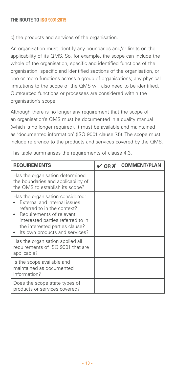c) the products and services of the organisation.

An organisation must identify any boundaries and/or limits on the applicability of its QMS. So, for example, the scope can include the whole of the organisation, specific and identified functions of the organisation, specific and identified sections of the organisation, or one or more functions across a group of organisations; any physical limitations to the scope of the QMS will also need to be identified. Outsourced functions or processes are considered within the organisation's scope.

Although there is no longer any requirement that the scope of an organisation's QMS must be documented in a quality manual (which is no longer required), it must be available and maintained as 'documented information' (ISO 9001 clause 7.5). The scope must include reference to the products and services covered by the QMS.

| <b>REQUIREMENTS</b>                                                                                                                                                                                                                  | $V$ OR $X$ | <b>COMMENT/PLAN</b> |
|--------------------------------------------------------------------------------------------------------------------------------------------------------------------------------------------------------------------------------------|------------|---------------------|
| Has the organisation determined<br>the boundaries and applicability of<br>the QMS to establish its scope?                                                                                                                            |            |                     |
| Has the organisation considered:<br>External and internal issues<br>referred to in the context?<br>Requirements of relevant<br>interested parties referred to in<br>the interested parties clause?<br>Its own products and services? |            |                     |
| Has the organisation applied all<br>requirements of ISO 9001 that are<br>applicable?                                                                                                                                                 |            |                     |
| Is the scope available and<br>maintained as documented<br>information?                                                                                                                                                               |            |                     |
| Does the scope state types of<br>products or services covered?                                                                                                                                                                       |            |                     |

This table summarises the requirements of clause 4.3.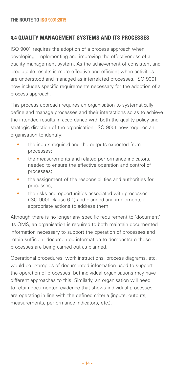## **4.4 Quality management systems and its processes**

ISO 9001 requires the adoption of a process approach when developing, implementing and improving the effectiveness of a quality management system. As the achievement of consistent and predictable results is more effective and efficient when activities are understood and managed as interrelated processes, ISO 9001 now includes specific requirements necessary for the adoption of a process approach.

This process approach requires an organisation to systematically define and manage processes and their interactions so as to achieve the intended results in accordance with both the quality policy and strategic direction of the organisation. ISO 9001 now requires an organisation to identify:

- the inputs required and the outputs expected from processes;
- the measurements and related performance indicators, needed to ensure the effective operation and control of processes;
- the assignment of the responsibilities and authorities for processes;
- the risks and opportunities associated with processes (ISO 9001 clause 6.1) and planned and implemented appropriate actions to address them.

Although there is no longer any specific requirement to 'document' its QMS, an organisation is required to both maintain documented information necessary to support the operation of processes and retain sufficient documented information to demonstrate these processes are being carried out as planned.

Operational procedures, work instructions, process diagrams, etc. would be examples of documented information used to support the operation of processes, but individual organisations may have different approaches to this. Similarly, an organisation will need to retain documented evidence that shows individual processes are operating in line with the defined criteria (inputs, outputs, measurements, performance indicators, etc.).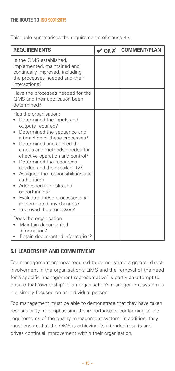This table summarises the requirements of clause 4.4.

| <b>REQUIREMENTS</b>                                                                                                                                                                                                                                                                                                                                                                                                                                                                                                                                | $V$ OR $X$ | <b>COMMENT/PLAN</b> |
|----------------------------------------------------------------------------------------------------------------------------------------------------------------------------------------------------------------------------------------------------------------------------------------------------------------------------------------------------------------------------------------------------------------------------------------------------------------------------------------------------------------------------------------------------|------------|---------------------|
| Is the QMS established,<br>implemented, maintained and<br>continually improved, including<br>the processes needed and their<br>interactions?                                                                                                                                                                                                                                                                                                                                                                                                       |            |                     |
| Have the processes needed for the<br>QMS and their application been<br>determined?                                                                                                                                                                                                                                                                                                                                                                                                                                                                 |            |                     |
| Has the organisation:<br>Determined the inputs and<br>outputs required?<br>Determined the sequence and<br>$\bullet$<br>interaction of these processes?<br>Determined and applied the<br>$\bullet$<br>criteria and methods needed for<br>effective operation and control?<br>Determined the resources<br>$\bullet$<br>needed and their availability?<br>Assigned the responsibilities and<br>٠<br>authorities?<br>Addressed the risks and<br>opportunities?<br>Evaluated these processes and<br>implemented any changes?<br>Improved the processes? |            |                     |
| Does the organisation:<br>Maintain documented<br>information?<br>Retain documented information?                                                                                                                                                                                                                                                                                                                                                                                                                                                    |            |                     |

## **5.1 Leadership and commitment**

Top management are now required to demonstrate a greater direct involvement in the organisation's QMS and the removal of the need for a specific 'management representative' is partly an attempt to ensure that 'ownership' of an organisation's management system is not simply focused on an individual person.

Top management must be able to demonstrate that they have taken responsibility for emphasising the importance of conforming to the requirements of the quality management system. In addition, they must ensure that the QMS is achieving its intended results and drives continual improvement within their organisation.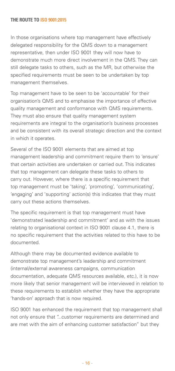In those organisations where top management have effectively delegated responsibility for the QMS down to a management representative, then under ISO 9001 they will now have to demonstrate much more direct involvement in the QMS. They can still delegate tasks to others, such as the MR, but otherwise the specified requirements must be seen to be undertaken by top management themselves.

Top management have to be seen to be 'accountable' for their organisation's QMS and to emphasise the importance of effective quality management and conformance with QMS requirements. They must also ensure that quality management system requirements are integral to the organisation's business processes and be consistent with its overall strategic direction and the context in which it operates.

Several of the ISO 9001 elements that are aimed at top management leadership and commitment require them to 'ensure' that certain activities are undertaken or carried out. This indicates that top management can delegate these tasks to others to carry out. However, where there is a specific requirement that top management must be 'taking', 'promoting', 'communicating', 'engaging' and 'supporting' action(s) this indicates that they must carry out these actions themselves.

The specific requirement is that top management must have 'demonstrated leadership and commitment' and as with the issues relating to organisational context in ISO 9001 clause 4.1, there is no specific requirement that the activities related to this have to be documented.

Although there may be documented evidence available to demonstrate top management's leadership and commitment (internal/external awareness campaigns, communication documentation, adequate QMS resources available, etc.), it is now more likely that senior management will be interviewed in relation to these requirements to establish whether they have the appropriate 'hands-on' approach that is now required.

ISO 9001 has enhanced the requirement that top management shall not only ensure that "...customer requirements are determined and are met with the aim of enhancing customer satisfaction" but they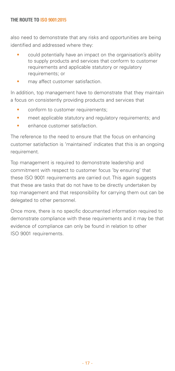also need to demonstrate that any risks and opportunities are being identified and addressed where they:

- could potentially have an impact on the organisation's ability to supply products and services that conform to customer requirements and applicable statutory or regulatory requirements; or
- may affect customer satisfaction.

In addition, top management have to demonstrate that they maintain a focus on consistently providing products and services that

- conform to customer requirements;
- meet applicable statutory and regulatory requirements; and
- enhance customer satisfaction.

The reference to the need to ensure that the focus on enhancing customer satisfaction is 'maintained' indicates that this is an ongoing requirement.

Top management is required to demonstrate leadership and commitment with respect to customer focus 'by ensuring' that these ISO 9001 requirements are carried out. This again suggests that these are tasks that do not have to be directly undertaken by top management and that responsibility for carrying them out can be delegated to other personnel.

Once more, there is no specific documented information required to demonstrate compliance with these requirements and it may be that evidence of compliance can only be found in relation to other ISO 9001 requirements.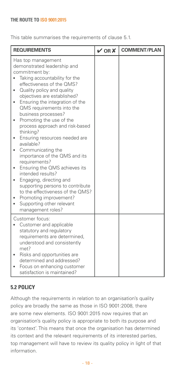This table summarises the requirements of clause 5.1.

| <b>REQUIREMENTS</b>                                                                                                                                                                                                                                                                                                                                                                                                                                                                                                                                                                                                                                                                                                                                                                                          | $V$ OR $X$ | <b>COMMENT/PLAN</b> |
|--------------------------------------------------------------------------------------------------------------------------------------------------------------------------------------------------------------------------------------------------------------------------------------------------------------------------------------------------------------------------------------------------------------------------------------------------------------------------------------------------------------------------------------------------------------------------------------------------------------------------------------------------------------------------------------------------------------------------------------------------------------------------------------------------------------|------------|---------------------|
| Has top management<br>demonstrated leadership and<br>commitment by:<br>Taking accountability for the<br>effectiveness of the QMS?<br>Quality policy and quality<br>$\bullet$<br>objectives are established?<br>Ensuring the integration of the<br>$\bullet$<br>QMS requirements into the<br>business processes?<br>Promoting the use of the<br>$\bullet$<br>process approach and risk-based<br>thinking?<br>Ensuring resources needed are<br>٠<br>available?<br>Communicating the<br>$\bullet$<br>importance of the QMS and its<br>requirements?<br>Ensuring the QMS achieves its<br>٠<br>intended results?<br>Engaging, directing and<br>٠<br>supporting persons to contribute<br>to the effectiveness of the QMS?<br>Promoting improvement?<br>Supporting other relevant<br>$\bullet$<br>management roles? |            |                     |
| Customer focus:<br>Customer and applicable<br>$\bullet$<br>statutory and regulatory<br>requirements are determined,<br>understood and consistently<br>met?<br>Risks and opportunities are<br>determined and addressed?<br>Focus on enhancing customer<br>satisfaction is maintained?                                                                                                                                                                                                                                                                                                                                                                                                                                                                                                                         |            |                     |

## **5.2 Policy**

Although the requirements in relation to an organisation's quality policy are broadly the same as those in ISO 9001:2008, there are some new elements. ISO 9001:2015 now requires that an organisation's quality policy is appropriate to both its purpose and its 'context'. This means that once the organisation has determined its context and the relevant requirements of its interested parties, top management will have to review its quality policy in light of that information.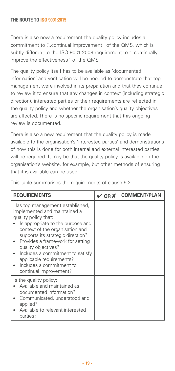There is also now a requirement the quality policy includes a commitment to "...continual improvement" of the QMS, which is subtly different to the ISO 9001:2008 requirement to "...continually improve the effectiveness" of the QMS.

The quality policy itself has to be available as 'documented information' and verification will be needed to demonstrate that top management were involved in its preparation and that they continue to review it to ensure that any changes in context (including strategic direction), interested parties or their requirements are reflected in the quality policy and whether the organisation's quality objectives are affected. There is no specific requirement that this ongoing review is documented.

There is also a new requirement that the quality policy is made available to the organisation's 'interested parties' and demonstrations of how this is done for both internal and external interested parties will be required. It may be that the quality policy is available on the organisation's website, for example, but other methods of ensuring that it is available can be used.

| <b>REQUIREMENTS</b>                                                                                                                                                                                                                                                                                                                                                                   | $\boldsymbol{\mathcal{V}}$ OR $\boldsymbol{X}$ | <b>COMMENT/PLAN</b> |
|---------------------------------------------------------------------------------------------------------------------------------------------------------------------------------------------------------------------------------------------------------------------------------------------------------------------------------------------------------------------------------------|------------------------------------------------|---------------------|
| Has top management established,<br>implemented and maintained a<br>quality policy that:<br>Is appropriate to the purpose and<br>context of the organisation and<br>supports its strategic direction?<br>Provides a framework for setting<br>quality objectives?<br>Includes a commitment to satisfy<br>applicable requirements?<br>Includes a commitment to<br>continual improvement? |                                                |                     |
| Is the quality policy:<br>Available and maintained as<br>documented information?<br>Communicated, understood and<br>applied?<br>Available to relevant interested<br>parties?                                                                                                                                                                                                          |                                                |                     |

This table summarises the requirements of clause 5.2.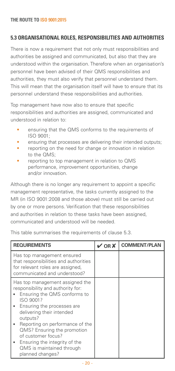## **5.3 Organisational roles, responsibilities and authorities**

There is now a requirement that not only must responsibilities and authorities be assigned and communicated, but also that they are understood within the organisation. Therefore when an organisation's personnel have been advised of their QMS responsibilities and authorities, they must also verify that personnel understand them. This will mean that the organisation itself will have to ensure that its personnel understand these responsibilities and authorities.

Top management have now also to ensure that specific responsibilities and authorities are assigned, communicated and understood in relation to:

- ensuring that the QMS conforms to the requirements of ISO 9001;
- ensuring that processes are delivering their intended outputs;
- reporting on the need for change or innovation in relation to the QMS;
- reporting to top management in relation to QMS performance, improvement opportunities, change and/or innovation.

Although there is no longer any requirement to appoint a specific management representative, the tasks currently assigned to the MR (in ISO 9001:2008 and those above) must still be carried out by one or more persons. Verification that these responsibilities and authorities in relation to these tasks have been assigned, communicated and understood will be needed.

This table summarises the requirements of clause 5.3.

| <b>REQUIREMENTS</b>                                                                                                                                                                                                                                                                                                                                                  | $V$ OR $X$ | <b>COMMENT/PLAN</b> |
|----------------------------------------------------------------------------------------------------------------------------------------------------------------------------------------------------------------------------------------------------------------------------------------------------------------------------------------------------------------------|------------|---------------------|
| Has top management ensured<br>that responsibilities and authorities<br>for relevant roles are assigned,<br>communicated and understood?                                                                                                                                                                                                                              |            |                     |
| Has top management assigned the<br>responsibility and authority for:<br>Ensuring the QMS conforms to<br>ISO 9001?<br>• Ensuring the processes are<br>delivering their intended<br>outputs?<br>Reporting on performance of the<br>QMS? Ensuring the promotion<br>of customer focus?<br>Ensuring the integrity of the<br>QMS is maintained through<br>planned changes? |            |                     |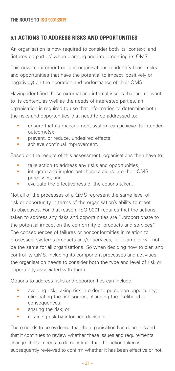## **6.1 Actions to address risks and opportunities**

An organisation is now required to consider both its 'context' and 'interested parties' when planning and implementing its QMS.

This new requirement obliges organisations to identify those risks and opportunities that have the potential to impact (positively or negatively) on the operation and performance of their QMS.

Having identified those external and internal issues that are relevant to its context, as well as the needs of interested parties, an organisation is required to use that information to determine both the risks and opportunities that need to be addressed to:

- ensure that its management system can achieve its intended outcome(s);
- prevent, or reduce, undesired effects;
- achieve continual improvement.

Based on the results of this assessment, organisations then have to:

- take action to address any risks and opportunities:
- integrate and implement these actions into their QMS processes; and
- evaluate the effectiveness of the actions taken.

Not all of the processes of a QMS represent the same level of risk or opportunity in terms of the organisation's ability to meet its objectives. For that reason, ISO 9001 requires that the actions taken to address any risks and opportunities are "...proportionate to the potential impact on the conformity of products and services". The consequences of failures or nonconformities in relation to processes, systems products and/or services, for example, will not be the same for all organisations. So when deciding how to plan and control its QMS, including its component processes and activities, the organisation needs to consider both the type and level of risk or opportunity associated with them.

Options to address risks and opportunities can include:

- avoiding risk; taking risk in order to pursue an opportunity;
- eliminating the risk source; changing the likelihood or consequences;
- sharing the risk; or
- retaining risk by informed decision.

There needs to be evidence that the organisation has done this and that it continues to review whether these issues and requirements change. It also needs to demonstrate that the action taken is subsequently reviewed to confirm whether it has been effective or not.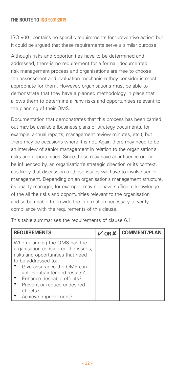ISO 9001 contains no specific requirements for 'preventive action' but it could be argued that these requirements serve a similar purpose.

Although risks and opportunities have to be determined and addressed, there is no requirement for a formal, documented risk management process and organisations are free to choose the assessment and evaluation mechanism they consider is most appropriate for them. However, organisations must be able to demonstrate that they have a planned methodology in place that allows them to determine all/any risks and opportunities relevant to the planning of their QMS.

Documentation that demonstrates that this process has been carried out may be available (business plans or strategy documents, for example, annual reports, management review minutes, etc.), but there may be occasions where it is not. Again there may need to be an interview of senior management in relation to the organisation's risks and opportunities. Since these may have an influence on, or be influenced by, an organisation's strategic direction or its context it is likely that discussion of these issues will have to involve senior management. Depending on an organisation's management structure, its quality manager, for example, may not have sufficient knowledge of the all the risks and opportunities relevant to the organisation and so be unable to provide the information necessary to verify compliance with the requirements of this clause.

| <b>REQUIREMENTS</b>                                                                                                                                                                                                                                                                                | $\vee$ OR X | <b>COMMENT/PLAN</b> |
|----------------------------------------------------------------------------------------------------------------------------------------------------------------------------------------------------------------------------------------------------------------------------------------------------|-------------|---------------------|
| When planning the QMS has the<br>organisation considered the issues.<br>risks and opportunities that need<br>to be addressed to:<br>Give assurance the OMS can<br>achieve its intended results?<br>• Enhance desirable effects?<br>Prevent or reduce undesired<br>effects?<br>Achieve improvement? |             |                     |

This table summarises the requirements of clause 6.1.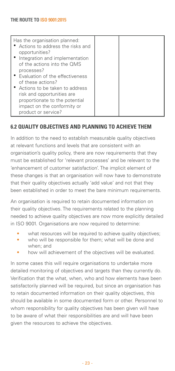| Has the organisation planned:<br>• Actions to address the risks and<br>opportunities?<br>• Integration and implementation<br>of the actions into the QMS<br>processes?<br>• Evaluation of the effectiveness<br>of these actions?<br>• Actions to be taken to address |  |
|----------------------------------------------------------------------------------------------------------------------------------------------------------------------------------------------------------------------------------------------------------------------|--|
| risk and opportunities are<br>proportionate to the potential<br>impact on the conformity or<br>product or service?                                                                                                                                                   |  |

## **6.2 Quality objectives and planning to achieve them**

In addition to the need to establish measurable quality objectives at relevant functions and levels that are consistent with an organisation's quality policy, there are now requirements that they must be established for 'relevant processes' and be relevant to the 'enhancement of customer satisfaction'. The implicit element of these changes is that an organisation will now have to demonstrate that their quality objectives actually 'add value' and not that they been established in order to meet the bare minimum requirements.

An organisation is required to retain documented information on their quality objectives. The requirements related to the planning needed to achieve quality objectives are now more explicitly detailed in ISO 9001. Organisations are now required to determine:

- what resources will be required to achieve quality objectives:
- who will be responsible for them; what will be done and when; and
- how will achievement of the objectives will be evaluated.

In some cases this will require organisations to undertake more detailed monitoring of objectives and targets than they currently do. Verification that the what, when, who and how elements have been satisfactorily planned will be required, but since an organisation has to retain documented information on their quality objectives, this should be available in some documented form or other. Personnel to whom responsibility for quality objectives has been given will have to be aware of what their responsibilities are and will have been given the resources to achieve the objectives.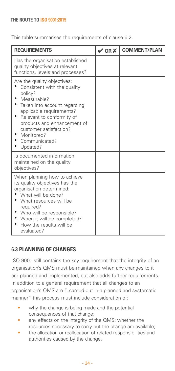This table summarises the requirements of clause 6.2.

| <b>REQUIREMENTS</b>                                                                                                                                                                                                                                                               | $\vee$ OR X | <b>COMMENT/PLAN</b> |
|-----------------------------------------------------------------------------------------------------------------------------------------------------------------------------------------------------------------------------------------------------------------------------------|-------------|---------------------|
| Has the organisation established<br>quality objectives at relevant<br>functions, levels and processes?                                                                                                                                                                            |             |                     |
| Are the quality objectives:<br>Consistent with the quality<br>policy?<br>Measurable?<br>Taken into account regarding<br>applicable requirements?<br>Relevant to conformity of<br>products and enhancement of<br>customer satisfaction?<br>Monitored?<br>Communicated?<br>Updated? |             |                     |
| Is documented information<br>maintained on the quality<br>objectives?                                                                                                                                                                                                             |             |                     |
| When planning how to achieve<br>its quality objectives has the<br>organisation determined:<br>What will be done?<br>What resources will be<br>required?<br>Who will be responsible?<br>When it will be completed?<br>How the results will be<br>evaluated?                        |             |                     |

## **6.3 Planning of changes**

ISO 9001 still contains the key requirement that the integrity of an organisation's QMS must be maintained when any changes to it are planned and implemented, but also adds further requirements. In addition to a general requirement that all changes to an organisation's QMS are "...carried out in a planned and systematic manner" this process must include consideration of:

- why the change is being made and the potential consequences of that change;
- any effects on the integrity of the QMS; whether the resources necessary to carry out the change are available;
- the allocation or reallocation of related responsibilities and authorities caused by the change.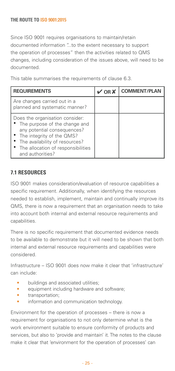Since ISO 9001 requires organisations to maintain/retain documented information "...to the extent necessary to support the operation of processes" then the activities related to QMS changes, including consideration of the issues above, will need to be documented.

This table summarises the requirements of clause 6.3.

| <b>REQUIREMENTS</b>                                                                                                                                                                                                              | $V$ OR $X$ | <b>COMMENT/PLAN</b> |
|----------------------------------------------------------------------------------------------------------------------------------------------------------------------------------------------------------------------------------|------------|---------------------|
| Are changes carried out in a<br>planned and systematic manner?                                                                                                                                                                   |            |                     |
| Does the organisation consider:<br>• The purpose of the change and<br>any potential consequences?<br>• The integrity of the QMS?<br>• The availability of resources?<br>• The allocation of responsibilities<br>and authorities? |            |                     |

## **7.1 Resources**

ISO 9001 makes consideration/evaluation of resource capabilities a specific requirement. Additionally, when identifying the resources needed to establish, implement, maintain and continually improve its QMS, there is now a requirement that an organisation needs to take into account both internal and external resource requirements and capabilities.

There is no specific requirement that documented evidence needs to be available to demonstrate but it will need to be shown that both internal and external resource requirements and capabilities were considered.

Infrastructure – ISO 9001 does now make it clear that 'infrastructure' can include:

- buildings and associated utilities;
- equipment including hardware and software:
- transportation;
- information and communication technology.

Environment for the operation of processes – there is now a requirement for organisations to not only determine what is the work environment suitable to ensure conformity of products and services, but also to 'provide and maintain' it. The notes to the clause make it clear that 'environment for the operation of processes' can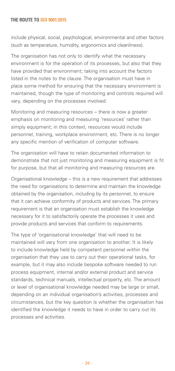include physical, social, psychological, environmental and other factors (such as temperature, humidity, ergonomics and cleanliness).

The organisation has not only to identify what the necessary environment is for the operation of its processes, but also that they have provided that environment; taking into account the factors listed in the notes to the clause. The organisation must have in place some method for ensuring that the necessary environment is maintained, though the type of monitoring and controls required will vary, depending on the processes involved.

Monitoring and measuring resources – there is now a greater emphasis on monitoring and measuring 'resources' rather than simply equipment; in this context, resources would include personnel, training, workplace environment, etc. There is no longer any specific mention of verification of computer software.

The organisation will have to retain documented information to demonstrate that not just monitoring and measuring equipment is fit for purpose, but that all monitoring and measuring resources are.

Organisational knowledge – this is a new requirement that addresses the need for organisations to determine and maintain the knowledge obtained by the organisation, including by its personnel, to ensure that it can achieve conformity of products and services. The primary requirement is that an organisation must establish the knowledge necessary for it to satisfactorily operate the processes it uses and provide products and services that conform to requirements.

The type of 'organisational knowledge' that will need to be maintained will vary from one organisation to another. It is likely to include knowledge held by competent personnel within the organisation that they use to carry out their operational tasks, for example, but it may also include bespoke software needed to run process equipment, internal and/or external product and service standards, technical manuals, intellectual property, etc. The amount or level of organisational knowledge needed may be large or small, depending on an individual organisation's activities, processes and circumstances, but the key question is whether the organisation has identified the knowledge it needs to have in order to carry out its processes and activities.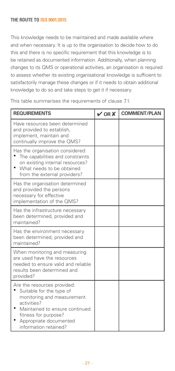This knowledge needs to be maintained and made available where and when necessary. It is up to the organisation to decide how to do this and there is no specific requirement that this knowledge is to be retained as documented information. Additionally, when planning changes to its QMS or operational activities, an organisation is required to assess whether its existing organisational knowledge is sufficient to satisfactorily manage these changes or if it needs to obtain additional knowledge to do so and take steps to get it if necessary.

This table summarises the requirements of clause 7.1.

| <b>REQUIREMENTS</b>                                                                                                                                                                                               | $\sqrt{ORX}$ | <b>COMMENT/PLAN</b> |
|-------------------------------------------------------------------------------------------------------------------------------------------------------------------------------------------------------------------|--------------|---------------------|
| Have resources been determined<br>and provided to establish,<br>implement, maintain and<br>continually improve the QMS?                                                                                           |              |                     |
| Has the organisation considered:<br>The capabilities and constraints<br>on existing internal resources?<br>What needs to be obtained<br>from the external providers?                                              |              |                     |
| Has the organisation determined<br>and provided the persons<br>necessary for effective<br>implementation of the QMS?                                                                                              |              |                     |
| Has the infrastructure necessary<br>been determined, provided and<br>maintained?                                                                                                                                  |              |                     |
| Has the environment necessary<br>been determined, provided and<br>maintained?                                                                                                                                     |              |                     |
| When monitoring and measuring<br>are used have the resources<br>needed to ensure valid and reliable<br>results been determined and<br>provided?                                                                   |              |                     |
| Are the resources provided:<br>Suitable for the type of<br>monitoring and measurement<br>activities?<br>Maintained to ensure continued<br>fitness for purpose?<br>Appropriate documented<br>information retained? |              |                     |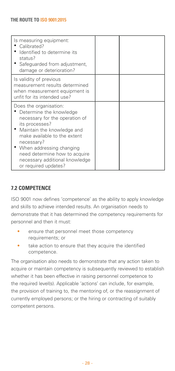| Is measuring equipment:<br>Calibrated?<br>Identified to determine its<br>status?<br>• Safeguarded from adjustment,<br>damage or deterioration?                                                                                                                                                             |  |
|------------------------------------------------------------------------------------------------------------------------------------------------------------------------------------------------------------------------------------------------------------------------------------------------------------|--|
| Is validity of previous<br>measurement results determined<br>when measurement equipment is<br>unfit for its intended use?                                                                                                                                                                                  |  |
| Does the organisation:<br>Determine the knowledge<br>necessary for the operation of<br>its processes?<br>• Maintain the knowledge and<br>make available to the extent<br>necessary?<br>When addressing changing<br>need determine how to acquire<br>necessary additional knowledge<br>or required updates? |  |

## **7.2 Competence**

ISO 9001 now defines 'competence' as the ability to apply knowledge and skills to achieve intended results. An organisation needs to demonstrate that it has determined the competency requirements for personnel and then it must:

- ensure that personnel meet those competency requirements; or
- take action to ensure that they acquire the identified competence.

The organisation also needs to demonstrate that any action taken to acquire or maintain competency is subsequently reviewed to establish whether it has been effective in raising personnel competence to the required level(s). Applicable 'actions' can include, for example, the provision of training to, the mentoring of, or the reassignment of currently employed persons; or the hiring or contracting of suitably competent persons.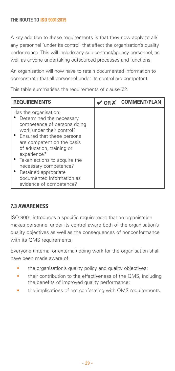A key addition to these requirements is that they now apply to all/ any personnel 'under its control' that affect the organisation's quality performance. This will include any sub-contract/agency personnel, as well as anyone undertaking outsourced processes and functions.

An organisation will now have to retain documented information to demonstrate that all personnel under its control are competent.

This table summarises the requirements of clause 7.2.

| <b>REQUIREMENTS</b>                                                                                                                                                                                                                                                                                                                     | $\vee$ OR X | <b>COMMENT/PLAN</b> |
|-----------------------------------------------------------------------------------------------------------------------------------------------------------------------------------------------------------------------------------------------------------------------------------------------------------------------------------------|-------------|---------------------|
| Has the organisation:<br>Determined the necessary<br>competence of persons doing<br>work under their control?<br>• Ensured that these persons<br>are competent on the basis<br>of education, training or<br>experience?<br>• Taken actions to acquire the<br>necessary competence?<br>Retained appropriate<br>documented information as |             |                     |
| evidence of competence?                                                                                                                                                                                                                                                                                                                 |             |                     |

## **7.3 Awareness**

ISO 9001 introduces a specific requirement that an organisation makes personnel under its control aware both of the organisation's quality objectives as well as the consequences of nonconformance with its QMS requirements.

Everyone (internal or external) doing work for the organisation shall have been made aware of:

- the organisation's quality policy and quality objectives;
- their contribution to the effectiveness of the QMS, including the benefits of improved quality performance;
- the implications of not conforming with QMS requirements.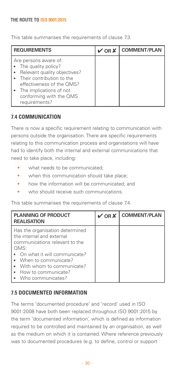This table summarises the requirements of clause 7.3.

| <b>REQUIREMENTS</b>                                                                                                                                                                                               | $\vee$ OR X | <b>COMMENT/PLAN</b> |
|-------------------------------------------------------------------------------------------------------------------------------------------------------------------------------------------------------------------|-------------|---------------------|
| Are persons aware of:<br>The quality policy?<br>Relevant quality objectives?<br>• Their contribution to the<br>effectiveness of the OMS?<br>• The implications of not<br>conforming with the QMS<br>requirements? |             |                     |

## **7.4 Communication**

There is now a specific requirement relating to communication with persons outside the organisation. There are specific requirements relating to this communication process and organisations will have had to identify both the internal and external communications that need to take place, including:

- what needs to be communicated:
- when this communication should take place;
- how the information will be communicated: and
- who should receive such communications.

This table summarises the requirements of clause 7.4.

| <b>PLANNING OF PRODUCT</b><br><b>REALISATION</b>                                                                                                                                                                                              | $V$ OR $X$ | <b>COMMENT/PLAN</b> |
|-----------------------------------------------------------------------------------------------------------------------------------------------------------------------------------------------------------------------------------------------|------------|---------------------|
| Has the organisation determined<br>the internal and external<br>communications relevant to the<br>OMS:<br>• On what it will communicate?<br>• When to communicate?<br>• With whom to communicate?<br>How to communicate?<br>Who communicates? |            |                     |

## **7.5 Documented information**

The terms 'documented procedure' and 'record' used in ISO 9001:2008 have both been replaced throughout ISO 9001:2015 by the term 'documented information', which is defined as information required to be controlled and maintained by an organisation, as well as the medium on which it is contained. Where reference previously was to documented procedures (e.g. to define, control or support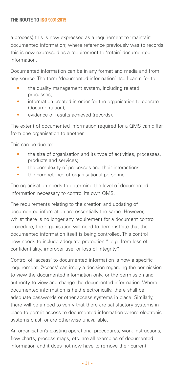a process) this is now expressed as a requirement to 'maintain' documented information; where reference previously was to records this is now expressed as a requirement to 'retain' documented information.

Documented information can be in any format and media and from any source. The term 'documented information' itself can refer to:

- the quality management system, including related processes;
- information created in order for the organisation to operate (documentation);
- evidence of results achieved (records).

The extent of documented information required for a QMS can differ from one organisation to another.

This can be due to:

- the size of organisation and its type of activities, processes, products and services;
- the complexity of processes and their interactions:
- the competence of organisational personnel.

The organisation needs to determine the level of documented information necessary to control its own QMS.

The requirements relating to the creation and updating of documented information are essentially the same. However, whilst there is no longer any requirement for a document control procedure, the organisation will need to demonstrate that the documented information itself is being controlled. This control now needs to include adequate protection "...e.g. from loss of confidentiality, improper use, or loss of integrity".

Control of 'access' to documented information is now a specific requirement. 'Access' can imply a decision regarding the permission to view the documented information only, or the permission and authority to view and change the documented information. Where documented information is held electronically, there shall be adequate passwords or other access systems in place. Similarly, there will be a need to verify that there are satisfactory systems in place to permit access to documented information where electronic systems crash or are otherwise unavailable.

An organisation's existing operational procedures, work instructions, flow charts, process maps, etc. are all examples of documented information and it does not now have to remove their current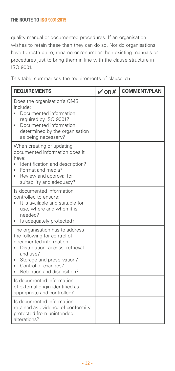quality manual or documented procedures. If an organisation wishes to retain these then they can do so. Nor do organisations have to restructure, rename or renumber their existing manuals or procedures just to bring them in line with the clause structure in ISO 9001.

This table summarises the requirements of clause 7.5

| <b>REQUIREMENTS</b>                                                                                                                                                                                                              | VORX | <b>COMMENT/PLAN</b> |
|----------------------------------------------------------------------------------------------------------------------------------------------------------------------------------------------------------------------------------|------|---------------------|
| Does the organisation's QMS<br>include:<br>Documented information<br>required by ISO 9001?<br>Documented information<br>determined by the organisation<br>as being necessary?                                                    |      |                     |
| When creating or updating<br>documented information does it<br>have:<br>Identification and description?<br>Format and media?<br>Review and approval for<br>۰<br>suitability and adequacy?                                        |      |                     |
| Is documented information<br>controlled to ensure:<br>It is available and suitable for<br>use, where and when it is<br>needed?<br>Is adequately protected?                                                                       |      |                     |
| The organisation has to address<br>the following for control of<br>documented information:<br>Distribution, access, retrieval<br>and use?<br>Storage and preservation?<br>Control of changes?<br>Retention and disposition?<br>٠ |      |                     |
| Is documented information<br>of external origin identified as<br>appropriate and controlled?                                                                                                                                     |      |                     |
| Is documented information<br>retained as evidence of conformity<br>protected from unintended<br>alterations?                                                                                                                     |      |                     |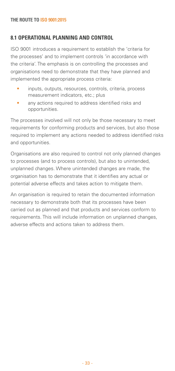## **8.1 Operational planning and control**

ISO 9001 introduces a requirement to establish the 'criteria for the processes' and to implement controls 'in accordance with the criteria'. The emphasis is on controlling the processes and organisations need to demonstrate that they have planned and implemented the appropriate process criteria:

- inputs, outputs, resources, controls, criteria, process measurement indicators, etc.; plus
- any actions required to address identified risks and opportunities.

The processes involved will not only be those necessary to meet requirements for conforming products and services, but also those required to implement any actions needed to address identified risks and opportunities.

Organisations are also required to control not only planned changes to processes (and to process controls), but also to unintended, unplanned changes. Where unintended changes are made, the organisation has to demonstrate that it identifies any actual or potential adverse effects and takes action to mitigate them.

An organisation is required to retain the documented information necessary to demonstrate both that its processes have been carried out as planned and that products and services conform to requirements. This will include information on unplanned changes, adverse effects and actions taken to address them.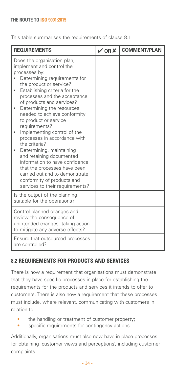This table summarises the requirements of clause 8.1.

| <b>REQUIREMENTS</b>                                                                                                                                                                                                                                                                                                                                                                                                                                                                                                                                                                                                                                              | $\vee$ OR $\times$ | <b>COMMENT/PLAN</b> |
|------------------------------------------------------------------------------------------------------------------------------------------------------------------------------------------------------------------------------------------------------------------------------------------------------------------------------------------------------------------------------------------------------------------------------------------------------------------------------------------------------------------------------------------------------------------------------------------------------------------------------------------------------------------|--------------------|---------------------|
| Does the organisation plan,<br>implement and control the<br>processes by:<br>Determining requirements for<br>the product or service?<br>Establishing criteria for the<br>٠<br>processes and the acceptance<br>of products and services?<br>Determining the resources<br>۰<br>needed to achieve conformity<br>to product or service<br>requirements?<br>Implementing control of the<br>processes in accordance with<br>the criteria?<br>Determining, maintaining<br>and retaining documented<br>information to have confidence<br>that the processes have been<br>carried out and to demonstrate<br>conformity of products and<br>services to their requirements? |                    |                     |
| Is the output of the planning<br>suitable for the operations?                                                                                                                                                                                                                                                                                                                                                                                                                                                                                                                                                                                                    |                    |                     |
| Control planned changes and<br>review the consequence of<br>unintended changes, taking action<br>to mitigate any adverse effects?                                                                                                                                                                                                                                                                                                                                                                                                                                                                                                                                |                    |                     |
| Ensure that outsourced processes<br>are controlled?                                                                                                                                                                                                                                                                                                                                                                                                                                                                                                                                                                                                              |                    |                     |

## **8.2 Requirements for products and services**

There is now a requirement that organisations must demonstrate that they have specific processes in place for establishing the requirements for the products and services it intends to offer to customers. There is also now a requirement that these processes must include, where relevant, communicating with customers in relation to:

- the handling or treatment of customer property;
- specific requirements for contingency actions.

Additionally, organisations must also now have in place processes for obtaining 'customer views and perceptions', including customer complaints.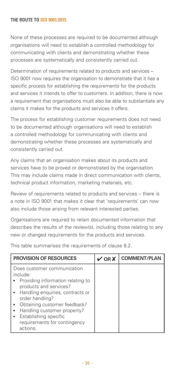None of these processes are required to be documented although organisations will need to establish a controlled methodology for communicating with clients and demonstrating whether these processes are systematically and consistently carried out.

Determination of requirements related to products and services – ISO 9001 now requires the organisation to demonstrate that it has a specific process for establishing the requirements for the products and services it intends to offer to customers. In addition, there is now a requirement that organisations must also be able to substantiate any claims it makes for the products and services it offers.

The process for establishing customer requirements does not need to be documented although organisations will need to establish a controlled methodology for communicating with clients and demonstrating whether these processes are systematically and consistently carried out.

Any claims that an organisation makes about its products and services have to be proved or demonstrated by the organisation. This may include claims made in direct communication with clients, technical product information, marketing materials, etc.

Review of requirements related to products and services – there is a note in ISO 9001 that makes it clear that 'requirements' can now also include those arising from relevant interested parties.

Organisations are required to retain documented information that describes the results of the review(s), including those relating to any new or changed requirements for the products and services.

| <b>PROVISION OF RESOURCES</b>                                                                                                                                                                                                                                                                       | $\vee$ OR $X$ | <b>COMMENT/PLAN</b> |
|-----------------------------------------------------------------------------------------------------------------------------------------------------------------------------------------------------------------------------------------------------------------------------------------------------|---------------|---------------------|
| Does customer communication<br>include:<br>Providing information relating to<br>products and services?<br>• Handling enquiries, contracts or<br>order handling?<br>Obtaining customer feedback?<br>Handling customer property?<br>Establishing specific<br>requirements for contingency<br>actions. |               |                     |

This table summarises the requirements of clause 8.2.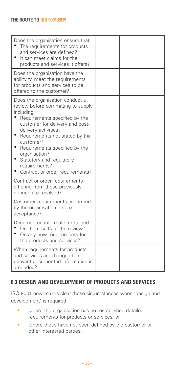| Does the organisation ensure that:<br>The requirements for products<br>and services are defined?<br>٠<br>It can meet claims for the<br>products and services it offers?                                                                                                                                                                                          |  |
|------------------------------------------------------------------------------------------------------------------------------------------------------------------------------------------------------------------------------------------------------------------------------------------------------------------------------------------------------------------|--|
| Does the organisation have the<br>ability to meet the requirements<br>for products and services to be<br>offered to the customer?                                                                                                                                                                                                                                |  |
| Does the organisation conduct a<br>review before committing to supply<br>including:<br>Requirements specified by the<br>customer for delivery and post-<br>delivery activities?<br>Requirements not stated by the<br>customer?<br>Requirements specified by the<br>organisation?<br>Statutory and regulatory<br>requirements?<br>Contract or order requirements? |  |
| Contract or order requirements<br>differing from those previously<br>defined are resolved?                                                                                                                                                                                                                                                                       |  |
| Customer requirements confirmed<br>by the organisation before<br>acceptance?                                                                                                                                                                                                                                                                                     |  |
| Documented information retained:<br>On the results of the review?<br>On any new requirements for<br>the products and services?                                                                                                                                                                                                                                   |  |
| When requirements for products<br>and services are changed the<br>relevant documented information is<br>amended?                                                                                                                                                                                                                                                 |  |

## **8.3 Design and development of products and services**

ISO 9001 now makes clear those circumstances when 'design and development' is required:

- where the organisation has not established detailed requirements for products or services, or
- where these have not been defined by the customer or other interested parties.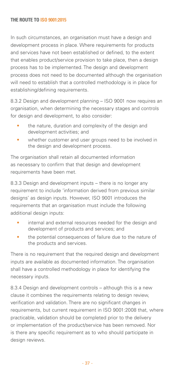In such circumstances, an organisation must have a design and development process in place. Where requirements for products and services have not been established or defined, to the extent that enables product/service provision to take place, then a design process has to be implemented. The design and development process does not need to be documented although the organisation will need to establish that a controlled methodology is in place for establishing/defining requirements.

8.3.2 Design and development planning – ISO 9001 now requires an organisation, when determining the necessary stages and controls for design and development, to also consider:

- the nature, duration and complexity of the design and development activities; and
- whether customer and user groups need to be involved in the design and development process.

The organisation shall retain all documented information as necessary to confirm that that design and development requirements have been met.

8.3.3 Design and development inputs – there is no longer any requirement to include 'information derived from previous similar designs' as design inputs. However, ISO 9001 introduces the requirements that an organisation must include the following additional design inputs:

- internal and external resources needed for the design and development of products and services; and
- the potential consequences of failure due to the nature of the products and services.

There is no requirement that the required design and development inputs are available as documented information. The organisation shall have a controlled methodology in place for identifying the necessary inputs.

8.3.4 Design and development controls – although this is a new clause it combines the requirements relating to design review. verification and validation. There are no significant changes in requirements, but current requirement in ISO 9001:2008 that, where practicable, validation should be completed prior to the delivery or implementation of the product/service has been removed. Nor is there any specific requirement as to who should participate in design reviews.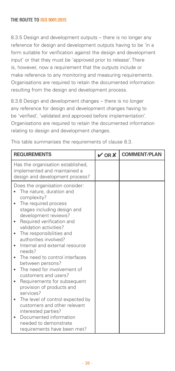8.3.5 Design and development outputs – there is no longer any reference for design and development outputs having to be 'in a form suitable for verification against the design and development input' or that they must be 'approved prior to release'. There is, however, now a requirement that the outputs include or make reference to any monitoring and measuring requirements. Organisations are required to retain the documented information resulting from the design and development process.

8.3.6 Design and development changes – there is no longer any reference for design and development changes having to be 'verified', 'validated and approved before implementation'. Organisations are required to retain the documented information relating to design and development changes.

| <b>REQUIREMENTS</b>                                                                                                                                                                                                                                                                                                                                                                                                                                                                                                                                                                                                                                                                                                 | $V$ OR $X$ | <b>COMMENT/PLAN</b> |
|---------------------------------------------------------------------------------------------------------------------------------------------------------------------------------------------------------------------------------------------------------------------------------------------------------------------------------------------------------------------------------------------------------------------------------------------------------------------------------------------------------------------------------------------------------------------------------------------------------------------------------------------------------------------------------------------------------------------|------------|---------------------|
| Has the organisation established,<br>implemented and maintained a<br>design and development process?                                                                                                                                                                                                                                                                                                                                                                                                                                                                                                                                                                                                                |            |                     |
| Does the organisation consider:<br>The nature, duration and<br>complexity?<br>The required process<br>stages including design and<br>development reviews?<br>Required verification and<br>$\bullet$<br>validation activities?<br>The responsibilities and<br>$\bullet$<br>authorities involved?<br>Internal and external resource<br>needs?<br>The need to control interfaces<br>between persons?<br>The need for involvement of<br>customers and users?<br>Requirements for subsequent<br>provision of products and<br>services?<br>The level of control expected by<br>٠<br>customers and other relevant<br>interested parties?<br>Documented information<br>needed to demonstrate<br>requirements have been met? |            |                     |

This table summarises the requirements of clause 8.3.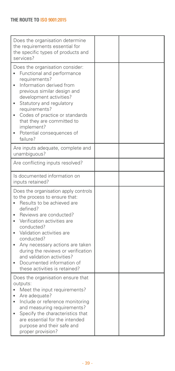| Does the organisation determine<br>the requirements essential for<br>the specific types of products and<br>services?                                                                                                                                                                                                                                                                                                      |  |
|---------------------------------------------------------------------------------------------------------------------------------------------------------------------------------------------------------------------------------------------------------------------------------------------------------------------------------------------------------------------------------------------------------------------------|--|
| Does the organisation consider:<br>Functional and performance<br>$\bullet$<br>requirements?<br>Information derived from<br>$\bullet$<br>previous similar design and<br>development activities?<br>Statutory and regulatory<br>$\bullet$<br>requirements?<br>Codes of practice or standards<br>$\bullet$<br>that they are committed to<br>implement?<br>Potential consequences of<br>failure?                              |  |
| Are inputs adequate, complete and<br>unambiguous?                                                                                                                                                                                                                                                                                                                                                                         |  |
| Are conflicting inputs resolved?                                                                                                                                                                                                                                                                                                                                                                                          |  |
| Is documented information on<br>inputs retained?                                                                                                                                                                                                                                                                                                                                                                          |  |
| Does the organisation apply controls<br>to the process to ensure that:<br>Results to be achieved are<br>defined?<br>Reviews are conducted?<br>Verification activities are<br>$\bullet$<br>conducted?<br>Validation activities are<br>conducted?<br>Any necessary actions are taken<br>٠<br>during the reviews or verification<br>and validation activities?<br>Documented information of<br>these activities is retained? |  |
| Does the organisation ensure that<br>outputs:<br>Meet the input requirements?<br>Are adequate?<br>Include or reference monitoring<br>$\bullet$<br>and measuring requirements?<br>Specify the characteristics that<br>٠<br>are essential for the intended<br>purpose and their safe and<br>proper provision?                                                                                                               |  |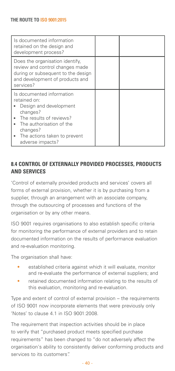| Is documented information<br>retained on the design and<br>development process?                                                                                                                        |  |
|--------------------------------------------------------------------------------------------------------------------------------------------------------------------------------------------------------|--|
| Does the organisation identify,<br>review and control changes made<br>during or subsequent to the design<br>and development of products and<br>services?                                               |  |
| Is documented information<br>retained on:<br>Design and development<br>changes?<br>The results of reviews?<br>The authorisation of the<br>changes?<br>The actions taken to prevent<br>adverse impacts? |  |

## **8.4 Control of externally provided processes, products and services**

'Control of externally provided products and services' covers all forms of external provision, whether it is by purchasing from a supplier, through an arrangement with an associate company, through the outsourcing of processes and functions of the organisation or by any other means.

ISO 9001 requires organisations to also establish specific criteria for monitoring the performance of external providers and to retain documented information on the results of performance evaluation and re-evaluation monitoring.

The organisation shall have:

- established criteria against which it will evaluate, monitor and re-evaluate the performance of external suppliers; and
- retained documented information relating to the results of this evaluation, monitoring and re-evaluation.

Type and extent of control of external provision – the requirements of ISO 9001 now incorporate elements that were previously only 'Notes' to clause 4.1 in ISO 9001:2008.

The requirement that inspection activities should be in place to verify that "purchased product meets specified purchase requirements" has been changed to "do not adversely affect the organisation's ability to consistently deliver conforming products and services to its customers".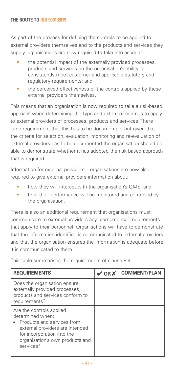As part of the process for defining the controls to be applied to external providers themselves and to the products and services they supply, organisations are now required to take into account:

- the potential impact of the externally provided processes, products and services on the organisation's ability to consistently meet customer and applicable statutory and regulatory requirements; and
- the perceived effectiveness of the controls applied by these external providers themselves.

This means that an organisation is now required to take a risk-based approach when determining the type and extent of controls to apply to external providers of processes, products and services. There is no requirement that this has to be documented, but given that the criteria for selection, evaluation, monitoring and re-evaluation of external providers has to be documented the organisation should be able to demonstrate whether it has adopted the risk based approach that is required.

Information for external providers – organisations are now also required to give external providers information about:

- how they will interact with the organisation's QMS; and
- how their performance will be monitored and controlled by the organisation.

There is also an additional requirement that organisations must communicate to external providers any 'competence' requirements that apply to their personnel. Organisations will have to demonstrate that the information identified is communicated to external providers and that the organisation ensures the information is adequate before it is communicated to them.

This table summarises the requirements of clause 8.4.

| <b>REQUIREMENTS</b>                                                                                                                                                                         | $V$ OR $X$ | <b>COMMENT/PLAN</b> |
|---------------------------------------------------------------------------------------------------------------------------------------------------------------------------------------------|------------|---------------------|
| Does the organisation ensure<br>externally provided processes,<br>products and services conform to<br>requirements?                                                                         |            |                     |
| Are the controls applied<br>determined when:<br>Products and services from<br>external providers are intended<br>for incorporation into the<br>organisation's own products and<br>services? |            |                     |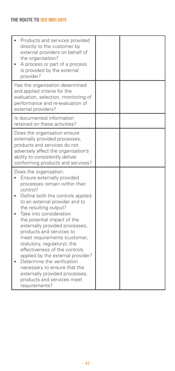| Products and services provided<br>directly to the customer by<br>external providers on behalf of<br>the organisation?<br>A process or part of a process<br>is provided by the external<br>provider?                                                                                                                                                                                                                                                                                                                                                                                                          |  |
|--------------------------------------------------------------------------------------------------------------------------------------------------------------------------------------------------------------------------------------------------------------------------------------------------------------------------------------------------------------------------------------------------------------------------------------------------------------------------------------------------------------------------------------------------------------------------------------------------------------|--|
| Has the organisation determined<br>and applied criteria for the<br>evaluation, selection, monitoring of<br>performance and re-evaluation of<br>external providers?                                                                                                                                                                                                                                                                                                                                                                                                                                           |  |
| Is documented information<br>retained on these activities?                                                                                                                                                                                                                                                                                                                                                                                                                                                                                                                                                   |  |
| Does the organisation ensure<br>externally provided processes,<br>products and services do not<br>adversely affect the organisation's<br>ability to consistently deliver<br>conforming products and services?                                                                                                                                                                                                                                                                                                                                                                                                |  |
| Does the organisation:<br>Ensure externally provided<br>processes remain within their<br>control?<br>Define both the controls applied<br>to an external provider and to<br>the resulting output?<br>Take into consideration<br>the potential impact of the<br>externally provided processes,<br>products and services to<br>meet requirements (customer,<br>statutory, regulatory); the<br>effectiveness of the controls<br>applied by the external provider?<br>Determine the verification<br>necessary to ensure that the<br>externally provided processes,<br>products and services meet<br>requirements? |  |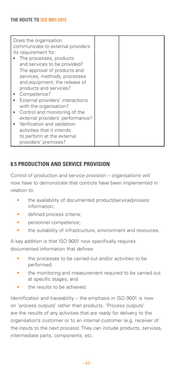| Does the organisation<br>communicate to external providers<br>its requirement for:                                                                                                                                                                                                                                                   |  |
|--------------------------------------------------------------------------------------------------------------------------------------------------------------------------------------------------------------------------------------------------------------------------------------------------------------------------------------|--|
| The processes, products<br>and services to be provided?<br>The approval of products and<br>services, methods, processes<br>and equipment, the release of<br>products and services?<br>Competence?<br>External providers' interactions<br>with the organisation?<br>Control and monitoring of the<br>external providers' performance? |  |
| • Verification and validation<br>activities that it intends<br>to perform at the external<br>providers' premises?                                                                                                                                                                                                                    |  |

## **8.5 Production and service provision**

Control of production and service provision – organisations will now have to demonstrate that controls have been implemented in relation to:

- the availability of documented product/service/process information;
- defined process criteria:
- personnel competence;
- the suitability of infrastructure, environment and resources.

A key addition is that ISO 9001 now specifically requires documented information that defines

- the processes to be carried out and/or activities to be performed;
- the monitoring and measurement required to be carried out at specific stages; and
- the results to be achieved.

Identification and traceability – the emphasis in ISO 9001 is now on 'process outputs' rather than products. 'Process outputs' are the results of any activities that are ready for delivery to the organisation's customer or to an internal customer (e.g. receiver of the inputs to the next process). They can include products, services, intermediate parts, components, etc.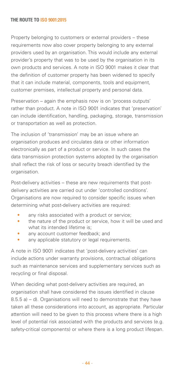Property belonging to customers or external providers – these requirements now also cover property belonging to any external providers used by an organisation. This would include any external provider's property that was to be used by the organisation in its own products and services. A note in ISO 9001 makes it clear that the definition of customer property has been widened to specify that it can include material, components, tools and equipment, customer premises, intellectual property and personal data.

Preservation – again the emphasis now is on 'process outputs' rather than product. A note in ISO 9001 indicates that 'preservation' can include identification, handling, packaging, storage, transmission or transportation as well as protection.

The inclusion of 'transmission' may be an issue where an organisation produces and circulates data or other information electronically as part of a product or service. In such cases the data transmission protection systems adopted by the organisation shall reflect the risk of loss or security breach identified by the organisation.

Post-delivery activities – these are new requirements that postdelivery activities are carried out under 'controlled conditions'. Organisations are now required to consider specific issues when determining what post-delivery activities are required:

- any risks associated with a product or service;
- the nature of the product or service, how it will be used and what its intended lifetime is:
- any account customer feedback; and
- any applicable statutory or legal requirements.

A note in ISO 9001 indicates that 'post-delivery activities' can include actions under warranty provisions, contractual obligations such as maintenance services and supplementary services such as recycling or final disposal.

When deciding what post-delivery activities are required, an organisation shall have considered the issues identified in clause 8.5.5 a) – d). Organisations will need to demonstrate that they have taken all these considerations into account, as appropriate. Particular attention will need to be given to this process where there is a high level of potential risk associated with the products and services (e.g. safety-critical components) or where there is a long product lifespan.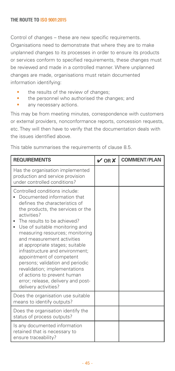Control of changes – these are new specific requirements. Organisations need to demonstrate that where they are to make unplanned changes to its processes in order to ensure its products or services conform to specified requirements, these changes must be reviewed and made in a controlled manner. Where unplanned changes are made, organisations must retain documented information identifying:

- the results of the review of changes;
- the personnel who authorised the changes: and
- any necessary actions.

This may be from meeting minutes, correspondence with customers or external providers, nonconformance reports, concession requests, etc. They will then have to verify that the documentation deals with the issues identified above.

This table summarises the requirements of clause 8.5.

| <b>REQUIREMENTS</b>                                                                                                                                                                                                                                                                                                                                                                                                                                                                                                                                                    | $V$ OR $X$ | <b>COMMENT/PLAN</b> |
|------------------------------------------------------------------------------------------------------------------------------------------------------------------------------------------------------------------------------------------------------------------------------------------------------------------------------------------------------------------------------------------------------------------------------------------------------------------------------------------------------------------------------------------------------------------------|------------|---------------------|
| Has the organisation implemented<br>production and service provision<br>under controlled conditions?                                                                                                                                                                                                                                                                                                                                                                                                                                                                   |            |                     |
| Controlled conditions include:<br>Documented information that<br>defines the characteristics of<br>the products, the services or the<br>activities?<br>The results to be achieved?<br>Use of suitable monitoring and<br>$\bullet$<br>measuring resources; monitoring<br>and measurement activities<br>at appropriate stages; suitable<br>infrastructure and environment;<br>appointment of competent<br>persons; validation and periodic<br>revalidation; implementations<br>of actions to prevent human<br>error; release, delivery and post-<br>delivery activities? |            |                     |
| Does the organisation use suitable<br>means to identify outputs?                                                                                                                                                                                                                                                                                                                                                                                                                                                                                                       |            |                     |
| Does the organisation identify the<br>status of process outputs?                                                                                                                                                                                                                                                                                                                                                                                                                                                                                                       |            |                     |
| Is any documented information<br>retained that is necessary to<br>ensure traceability?                                                                                                                                                                                                                                                                                                                                                                                                                                                                                 |            |                     |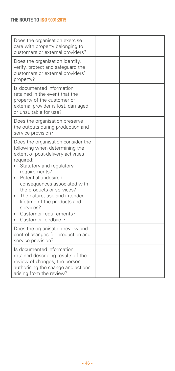| Does the organisation exercise<br>care with property belonging to<br>customers or external providers?                                                                                                                                                                                                                                                                                 |  |
|---------------------------------------------------------------------------------------------------------------------------------------------------------------------------------------------------------------------------------------------------------------------------------------------------------------------------------------------------------------------------------------|--|
| Does the organisation identify,<br>verify, protect and safeguard the<br>customers or external providers'<br>property?                                                                                                                                                                                                                                                                 |  |
| Is documented information<br>retained in the event that the<br>property of the customer or<br>external provider is lost, damaged<br>or unsuitable for use?                                                                                                                                                                                                                            |  |
| Does the organisation preserve<br>the outputs during production and<br>service provision?                                                                                                                                                                                                                                                                                             |  |
| Does the organisation consider the<br>following when determining the<br>extent of post-delivery activities<br>required:<br>Statutory and regulatory<br>requirements?<br>Potential undesired<br>consequences associated with<br>the products or services?<br>The nature, use and intended<br>lifetime of the products and<br>services?<br>Customer requirements?<br>Customer feedback? |  |
| Does the organisation review and<br>control changes for production and<br>service provision?                                                                                                                                                                                                                                                                                          |  |
| Is documented information<br>retained describing results of the<br>review of changes, the person<br>authorising the change and actions<br>arising from the review?                                                                                                                                                                                                                    |  |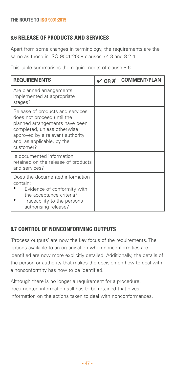## **8.6 Release of products and services**

Apart from some changes in terminology, the requirements are the same as those in ISO 9001:2008 clauses 7.4.3 and 8.2.4.

This table summarises the requirements of clause 8.6.

| <b>REQUIREMENTS</b>                                                                                                                                                                                            | $V$ OR $X$ | <b>COMMENT/PLAN</b> |
|----------------------------------------------------------------------------------------------------------------------------------------------------------------------------------------------------------------|------------|---------------------|
| Are planned arrangements<br>implemented at appropriate<br>stages?                                                                                                                                              |            |                     |
| Release of products and services<br>does not proceed until the<br>planned arrangements have been<br>completed, unless otherwise<br>approved by a relevant authority<br>and, as applicable, by the<br>customer? |            |                     |
| Is documented information<br>retained on the release of products<br>and services?                                                                                                                              |            |                     |
| Does the documented information<br>contain:<br>Evidence of conformity with<br>the acceptance criteria?<br>Traceability to the persons<br>authorising release?                                                  |            |                     |

## **8.7 Control of nonconforming outputs**

'Process outputs' are now the key focus of the requirements. The options available to an organisation when nonconformities are identified are now more explicitly detailed. Additionally, the details of the person or authority that makes the decision on how to deal with a nonconformity has now to be identified.

Although there is no longer a requirement for a procedure, documented information still has to be retained that gives information on the actions taken to deal with nonconformances.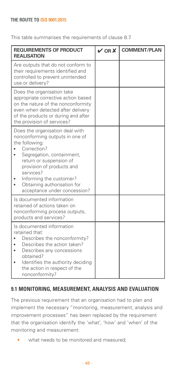This table summarises the requirements of clause 8.7.

| <b>REQUIREMENTS OF PRODUCT</b><br><b>REALISATION</b>                                                                                                                                                                                                                                                         | $V$ OR $X$ | <b>COMMENT/PLAN</b> |
|--------------------------------------------------------------------------------------------------------------------------------------------------------------------------------------------------------------------------------------------------------------------------------------------------------------|------------|---------------------|
| Are outputs that do not conform to<br>their requirements identified and<br>controlled to prevent unintended<br>use or delivery?                                                                                                                                                                              |            |                     |
| Does the organisation take<br>appropriate corrective action based<br>on the nature of the nonconformity<br>even when detected after delivery<br>of the products or during and after<br>the provision of services?                                                                                            |            |                     |
| Does the organisation deal with<br>nonconforming outputs in one of<br>the following:<br>Correction?<br>Segregation, containment,<br>$\bullet$<br>return or suspension of<br>provision of products and<br>services?<br>Informing the customer?<br>Obtaining authorisation for<br>acceptance under concession? |            |                     |
| Is documented information<br>retained of actions taken on<br>nonconforming process outputs,<br>products and services?                                                                                                                                                                                        |            |                     |
| Is documented information<br>retained that:<br>Describes the nonconformity?<br>Describes the action taken?<br>Describes any concessions<br>obtained?<br>Identifies the authority deciding<br>the action in respect of the<br>nonconformity?                                                                  |            |                     |

## **9.1 Monitoring, measurement, analysis and evaluation**

The previous requirement that an organisation had to plan and implement the necessary "monitoring, measurement, analysis and improvement processes" has been replaced by the requirement that the organisation identify the 'what', 'how' and 'when' of the monitoring and measurement:

• what needs to be monitored and measured: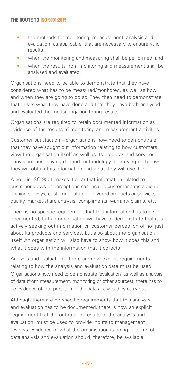- the methods for monitoring, measurement, analysis and evaluation, as applicable, that are necessary to ensure valid results;
- when the monitoring and measuring shall be performed; and
- when the results from monitoring and measurement shall be analysed and evaluated.

Organisations need to be able to demonstrate that they have considered what has to be measured/monitored, as well as how and when they are going to do so. They then need to demonstrate that this is what they have done and that they have both analysed and evaluated the measuring/monitoring results.

Organisations are required to retain documented information as evidence of the results of monitoring and measurement activities.

Customer satisfaction – organisations now need to demonstrate that they have sought out information relating to how customers view the organisation itself as well as its products and services. They also must have a defined methodology identifying both how they will obtain this information and what they will use it for.

A note in ISO 9001 makes it clear that information related to customer views or perceptions can include customer satisfaction or opinion surveys, customer data on delivered products or services quality, market-share analysis, compliments, warranty claims, etc.

There is no specific requirement that this information has to be documented, but an organisation will have to demonstrate that it is actively seeking out information on customer perception of not just about its products and services, but also about the organisation itself. An organisation will also have to show how it does this and what it does with the information that it collects.

Analysis and evaluation – there are now explicit requirements relating to how the analysis and evaluation data must be used. Organisations now need to demonstrate 'evaluation' as well as analysis of data (from measurement, monitoring or other sources); there has to be evidence of interpretation of the data analysis they carry out.

Although there are no specific requirements that this analysis and evaluation has to be documented, there is now an explicit requirement that the outputs, or results of the analysis and evaluation, must be used to provide inputs to management reviews. Evidence of what the organisation is doing in terms of data analysis and evaluation should, therefore, be available.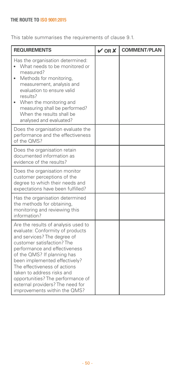This table summarises the requirements of clause 9.1.

| <b>REQUIREMENTS</b>                                                                                                                                                                                                                                                                                                                                                                                          | VORX | <b>COMMENT/PLAN</b> |
|--------------------------------------------------------------------------------------------------------------------------------------------------------------------------------------------------------------------------------------------------------------------------------------------------------------------------------------------------------------------------------------------------------------|------|---------------------|
| Has the organisation determined:<br>What needs to be monitored or<br>measured?<br>Methods for monitoring,<br>measurement, analysis and<br>evaluation to ensure valid<br>results?<br>When the monitoring and<br>$\bullet$<br>measuring shall be performed?<br>When the results shall be<br>analysed and evaluated?                                                                                            |      |                     |
| Does the organisation evaluate the<br>performance and the effectiveness<br>of the OMS?                                                                                                                                                                                                                                                                                                                       |      |                     |
| Does the organisation retain<br>documented information as<br>evidence of the results?                                                                                                                                                                                                                                                                                                                        |      |                     |
| Does the organisation monitor<br>customer perceptions of the<br>degree to which their needs and<br>expectations have been fulfilled?                                                                                                                                                                                                                                                                         |      |                     |
| Has the organisation determined<br>the methods for obtaining,<br>monitoring and reviewing this<br>information?                                                                                                                                                                                                                                                                                               |      |                     |
| Are the results of analysis used to<br>evaluate: Conformity of products<br>and services? The degree of<br>customer satisfaction? The<br>performance and effectiveness<br>of the QMS? If planning has<br>been implemented effectively?<br>The effectiveness of actions<br>taken to address risks and<br>opportunities? The performance of<br>external providers? The need for<br>improvements within the QMS? |      |                     |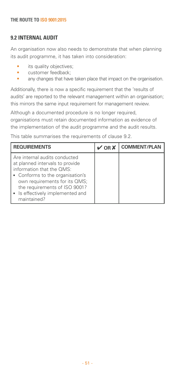## **9.2 Internal audit**

An organisation now also needs to demonstrate that when planning its audit programme, it has taken into consideration:

- its quality objectives:
- customer feedback;
- any changes that have taken place that impact on the organisation.

Additionally, there is now a specific requirement that the 'results of audits' are reported to the relevant management within an organisation; this mirrors the same input requirement for management review.

Although a documented procedure is no longer required, organisations must retain documented information as evidence of the implementation of the audit programme and the audit results.

This table summarises the requirements of clause 9.2.

| <b>REQUIREMENTS</b>                                                                                                                                                                                                                                    | $\vee$ OR X | <b>COMMENT/PLAN</b> |
|--------------------------------------------------------------------------------------------------------------------------------------------------------------------------------------------------------------------------------------------------------|-------------|---------------------|
| Are internal audits conducted<br>at planned intervals to provide<br>information that the OMS:<br>• Conforms to the organisation's<br>own requirements for its QMS;<br>the requirements of ISO 9001?<br>• Is effectively implemented and<br>maintained? |             |                     |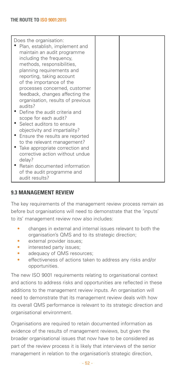| Does the organisation:<br>Plan, establish, implement and<br>maintain an audit programme<br>including the frequency,<br>methods, responsibilities,<br>planning requirements and<br>reporting, taking account<br>of the importance of the<br>processes concerned, customer<br>feedback, changes affecting the                    |  |
|--------------------------------------------------------------------------------------------------------------------------------------------------------------------------------------------------------------------------------------------------------------------------------------------------------------------------------|--|
| organisation, results of previous<br>audits?<br>• Define the audit criteria and<br>scope for each audit?<br>• Select auditors to ensure<br>objectivity and impartiality?<br>• Ensure the results are reported<br>to the relevant management?<br>• Take appropriate correction and<br>corrective action without undue<br>delay? |  |
| Retain documented information<br>of the audit programme and<br>audit results?                                                                                                                                                                                                                                                  |  |

## **9.3 Management review**

The key requirements of the management review process remain as before but organisations will need to demonstrate that the 'inputs' to its' management review now also includes:

- changes in external and internal issues relevant to both the organisation's QMS and to its strategic direction;
- external provider issues:
- interested party issues:
- adequacy of QMS resources;
- effectiveness of actions taken to address any risks and/or opportunities.

The new ISO 9001 requirements relating to organisational context and actions to address risks and opportunities are reflected in these additions to the management review inputs. An organisation will need to demonstrate that its management review deals with how its overall QMS performance is relevant to its strategic direction and organisational environment.

Organisations are required to retain documented information as evidence of the results of management reviews, but given the broader organisational issues that now have to be considered as part of the review process it is likely that interviews of the senior management in relation to the organisation's strategic direction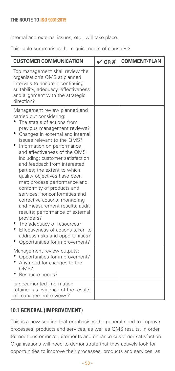internal and external issues, etc., will take place.

This table summarises the requirements of clause 9.3.

| <b>CUSTOMER COMMUNICATION</b>                                                                                                                                                                                                                                                                                                                                                                                                                                                                                                                                                                                                                                                                                                                              | $V$ OR $X$ | <b>COMMENT/PLAN</b> |
|------------------------------------------------------------------------------------------------------------------------------------------------------------------------------------------------------------------------------------------------------------------------------------------------------------------------------------------------------------------------------------------------------------------------------------------------------------------------------------------------------------------------------------------------------------------------------------------------------------------------------------------------------------------------------------------------------------------------------------------------------------|------------|---------------------|
| Top management shall review the<br>organisation's QMS at planned<br>intervals to ensure it continuing<br>suitability, adequacy, effectiveness<br>and alignment with the strategic<br>direction?                                                                                                                                                                                                                                                                                                                                                                                                                                                                                                                                                            |            |                     |
| Management review planned and<br>carried out considering:<br>The status of actions from<br>previous management reviews?<br>Changes in external and internal<br>issues relevant to the OMS?<br>Information on performance<br>and effectiveness of the QMS<br>including: customer satisfaction<br>and feedback from interested<br>parties; the extent to which<br>quality objectives have been<br>met; process performance and<br>conformity of products and<br>services; nonconformities and<br>corrective actions; monitoring<br>and measurement results; audit<br>results; performance of external<br>providers?<br>The adequacy of resources?<br>Effectiveness of actions taken to<br>address risks and opportunities?<br>Opportunities for improvement? |            |                     |
| Management review outputs:<br>Opportunities for improvement?<br>Any need for changes to the<br>OMS?<br>Resource needs?                                                                                                                                                                                                                                                                                                                                                                                                                                                                                                                                                                                                                                     |            |                     |
| Is documented information<br>retained as evidence of the results<br>of management reviews?                                                                                                                                                                                                                                                                                                                                                                                                                                                                                                                                                                                                                                                                 |            |                     |

## **10.1 General (improvement)**

This is a new section that emphasises the general need to improve processes, products and services, as well as QMS results, in order to meet customer requirements and enhance customer satisfaction. Organisations will need to demonstrate that they actively look for opportunities to improve their processes, products and services, as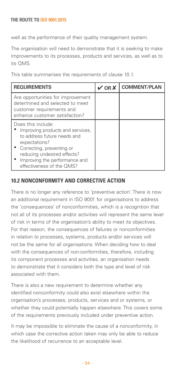well as the performance of their quality management system.

The organisation will need to demonstrate that it is seeking to make improvements to its processes, products and services, as well as to its QMS.

This table summarises the requirements of clause 10.1.

| <b>REQUIREMENTS</b>                                                                                                                                                                                                                | $\vee$ OR $\vee$ | <b>COMMENT/PLAN</b> |
|------------------------------------------------------------------------------------------------------------------------------------------------------------------------------------------------------------------------------------|------------------|---------------------|
| Are opportunities for improvement<br>determined and selected to meet<br>customer requirements and<br>enhance customer satisfaction?                                                                                                |                  |                     |
| Does this include:<br>Improving products and services,<br>to address future needs and<br>expectations?<br>• Correcting, preventing or<br>reducing undesired effects?<br>Improving the performance and<br>effectiveness of the QMS? |                  |                     |

## **10.2 Nonconformity and corrective action**

There is no longer any reference to 'preventive action'. There is now an additional requirement in ISO 9001 for organisations to address the 'consequences' of nonconformities, which is a recognition that not all of its processes and/or activities will represent the same level of risk in terms of the organisation's ability to meet its objectives. For that reason, the consequences of failures or nonconformities in relation to processes, systems, products and/or services will not be the same for all organisations. When deciding how to deal with the consequences of non-conformities, therefore, including its component processes and activities, an organisation needs to demonstrate that it considers both the type and level of risk associated with them.

There is also a new requirement to determine whether any identified nonconformity could also exist elsewhere within the organisation's processes, products, services and or systems, or whether they could potentially happen elsewhere. This covers some of the requirements previously included under preventive action.

It may be impossible to eliminate the cause of a nonconformity, in which case the corrective action taken may only be able to reduce the likelihood of recurrence to an acceptable level.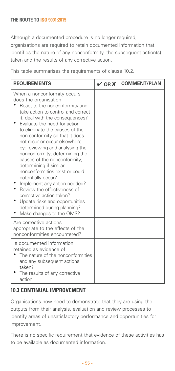Although a documented procedure is no longer required, organisations are required to retain documented information that identifies the nature of any nonconformity, the subsequent action(s) taken and the results of any corrective action.

This table summarises the requirements of clause 10.2.

| <b>REQUIREMENTS</b>                                                                                                                                                                                                                                                                                                                                                                                                                                                                                                                                                                                                                                                                 | $V$ OR $X$ | <b>COMMENT/PLAN</b> |
|-------------------------------------------------------------------------------------------------------------------------------------------------------------------------------------------------------------------------------------------------------------------------------------------------------------------------------------------------------------------------------------------------------------------------------------------------------------------------------------------------------------------------------------------------------------------------------------------------------------------------------------------------------------------------------------|------------|---------------------|
| When a nonconformity occurs<br>does the organisation:<br>React to the nonconformity and<br>take action to control and correct<br>it; deal with the consequences?<br>Evaluate the need for action<br>to eliminate the causes of the<br>non-conformity so that it does<br>not recur or occur elsewhere<br>by: reviewing and analysing the<br>nonconformity; determining the<br>causes of the nonconformity;<br>determining if similar<br>nonconformities exist or could<br>potentially occur?<br>Implement any action needed?<br>Review the effectiveness of<br>corrective action taken?<br>Update risks and opportunities<br>determined during planning?<br>Make changes to the QMS? |            |                     |
| Are corrective actions<br>appropriate to the effects of the<br>nonconformities encountered?                                                                                                                                                                                                                                                                                                                                                                                                                                                                                                                                                                                         |            |                     |
| Is documented information<br>retained as evidence of:<br>The nature of the nonconformities<br>and any subsequent actions<br>taken?<br>The results of any corrective<br>action                                                                                                                                                                                                                                                                                                                                                                                                                                                                                                       |            |                     |

## **10.3 Continual improvement**

Organisations now need to demonstrate that they are using the outputs from their analysis, evaluation and review processes to identify areas of unsatisfactory performance and opportunities for improvement.

There is no specific requirement that evidence of these activities has to be available as documented information.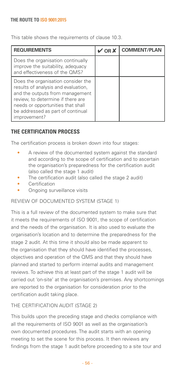This table shows the requirements of clause 10.3.

| <b>REQUIREMENTS</b>                                                                                                                                                                                                                         | OR X | <b>COMMENT/PLAN</b> |
|---------------------------------------------------------------------------------------------------------------------------------------------------------------------------------------------------------------------------------------------|------|---------------------|
| Does the organisation continually<br>improve the suitability, adequacy<br>and effectiveness of the QMS?                                                                                                                                     |      |                     |
| Does the organisation consider the<br>results of analysis and evaluation,<br>and the outputs from management<br>review, to determine if there are<br>needs or opportunities that shall<br>be addressed as part of continual<br>improvement? |      |                     |

## **THE CERTIFICATION PROCESS**

The certification process is broken down into four stages:

- A review of the documented system against the standard and according to the scope of certification and to ascertain the organisation's preparedness for the certification audit (also called the stage 1 audit)
- The certification audit (also called the stage 2 audit)
- Certification
- Ongoing surveillance visits

## REVIEW OF DOCUMENTED SYSTEM (STAGE 1)

This is a full review of the documented system to make sure that it meets the requirements of ISO 9001, the scope of certification and the needs of the organisation. It is also used to evaluate the organisation's location and to determine the preparedness for the stage 2 audit. At this time it should also be made apparent to the organisation that they should have identified the processes, objectives and operation of the QMS and that they should have planned and started to perform internal audits and management reviews. To achieve this at least part of the stage 1 audit will be carried out 'on-site' at the organisation's premises. Any shortcomings are reported to the organisation for consideration prior to the certification audit taking place.

## THE CERTIFICATION AUDIT (STAGE 2)

This builds upon the preceding stage and checks compliance with all the requirements of ISO 9001 as well as the organisation's own documented procedures. The audit starts with an opening meeting to set the scene for this process. It then reviews any findings from the stage 1 audit before proceeding to a site tour and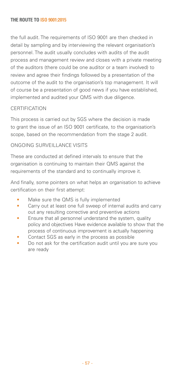the full audit. The requirements of ISO 9001 are then checked in detail by sampling and by interviewing the relevant organisation's personnel. The audit usually concludes with audits of the audit process and management review and closes with a private meeting of the auditors (there could be one auditor or a team involved) to review and agree their findings followed by a presentation of the outcome of the audit to the organisation's top management. It will of course be a presentation of good news if you have established, implemented and audited your QMS with due diligence.

## **CERTIFICATION**

This process is carried out by SGS where the decision is made to grant the issue of an ISO 9001 certificate, to the organisation's scope, based on the recommendation from the stage 2 audit.

## ONGOING SURVEILLANCE VISITS

These are conducted at defined intervals to ensure that the organisation is continuing to maintain their QMS against the requirements of the standard and to continually improve it.

And finally, some pointers on what helps an organisation to achieve certification on their first attempt:

- Make sure the QMS is fully implemented
- Carry out at least one full sweep of internal audits and carry out any resulting corrective and preventive actions
- Ensure that all personnel understand the system, quality policy and objectives Have evidence available to show that the process of continuous improvement is actually happening
- Contact SGS as early in the process as possible
- Do not ask for the certification audit until you are sure you are ready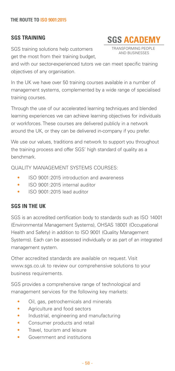## **SGS TRAINING**

SGS training solutions help customers get the most from their training budget,

and with our sector-experienced tutors we can meet specific training objectives of any organisation.

In the UK we have over 50 training courses available in a number of management systems, complemented by a wide range of specialised training courses.

Through the use of our accelerated learning techniques and blended learning experiences we can achieve learning objectives for individuals or workforces. These courses are delivered publicly in a network around the UK, or they can be delivered in-company if you prefer.

We use our values, traditions and network to support you throughout the training process and offer SGS' high standard of quality as a benchmark.

QUALITY MANAGEMENT SYSTEMS COURSES:

- ISO 9001:2015 introduction and awareness
- ISO 9001:2015 internal auditor
- ISO 9001:2015 lead auditor

## **SGS IN THE UK**

SGS is an accredited certification body to standards such as ISO 14001 (Environmental Management Systems), OHSAS 18001 (Occupational Health and Safety) in addition to ISO 9001 (Quality Management Systems). Each can be assessed individually or as part of an integrated management system.

Other accredited standards are available on request. Visit www.sgs.co.uk to review our comprehensive solutions to your business requirements.

SGS provides a comprehensive range of technological and management services for the following key markets:

- Oil, gas, petrochemicals and minerals
- Agriculture and food sectors
- Industrial, engineering and manufacturing
- Consumer products and retail
- Travel, tourism and leisure
- Government and institutions



TRANSFORMING PEOPLE AND BUSINESSES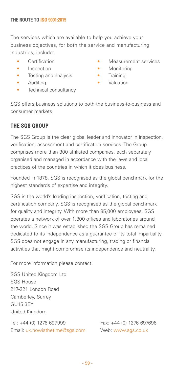The services which are available to help you achieve your business objectives, for both the service and manufacturing industries, include:

- Certification
- Inspection
- Testing and analysis
- Auditing
- Technical consultancy
- Measurement services
- Monitoring
- Training
- Valuation

SGS offers business solutions to both the business-to-business and consumer markets.

## **THE SGS GROUP**

The SGS Group is the clear global leader and innovator in inspection, verification, assessment and certification services. The Group comprises more than 300 affiliated companies, each separately organised and managed in accordance with the laws and local practices of the countries in which it does business.

Founded in 1878, SGS is recognised as the global benchmark for the highest standards of expertise and integrity.

SGS is the world's leading inspection, verification, testing and certification company. SGS is recognised as the global benchmark for quality and integrity. With more than 85,000 employees, SGS operates a network of over 1,800 offices and laboratories around the world. Since it was established the SGS Group has remained dedicated to its independence as a guarantee of its total impartiality. SGS does not engage in any manufacturing, trading or financial activities that might compromise its independence and neutrality.

For more information please contact:

SGS United Kingdom Ltd SGS House 217-221 London Road Camberley, Surrey GU15 3EY United Kingdom

Tel: +44 (0) 1276 697999 Fax: +44 (0) 1276 697696 Email: uk.nowisthetime@sgs.com Web: www.sgs.co.uk